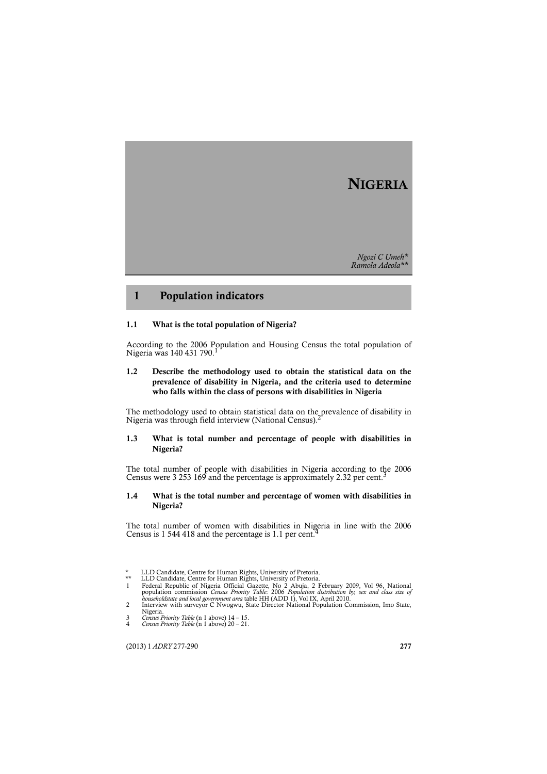# **NIGERIA**

*Ngozi C Umeh\* Ramola Adeola\*\**

## **1 Population indicators**

### **1.1 What is the total population of Nigeria?**

According to the 2006 Population and Housing Census the total population of Nigeria was 140 431 790.

## **1.2 Describe the methodology used to obtain the statistical data on the prevalence of disability in Nigeria, and the criteria used to determine who falls within the class of persons with disabilities in Nigeria**

The methodology used to obtain statistical data on the prevalence of disability in Nigeria was through field interview (National Census).2

## **1.3 What is total number and percentage of people with disabilities in Nigeria?**

The total number of people with disabilities in Nigeria according to the 2006<br>Census were 3 253 169 and the percentage is approximately 2.32 per cent.<sup>3</sup>

## **1.4 What is the total number and percentage of women with disabilities in Nigeria?**

The total number of women with disabilities in Nigeria in line with the 2006 Census is 1 544 418 and the percentage is 1.1 per cent.

(2013) 1 *ADRY* 277-290 **277**

<sup>\*</sup> LLD Candidate, Centre for Human Rights, University of Pretoria.<br>
\*\* LLD Candidate, Centre for Human Rights, University of Pretoria.<br>
1 Federal Republic of Nigeria Official Gazette, No 2 Abuja, 2 February 2009, Vol 96, Na

<sup>2</sup> Interview with surveyor C Nwogwu, State Director National Population Commission, Imo State, Nigeria. 3 *Census Priority Table* (n 1 above) 14 – 15.

<sup>4</sup> *Census Priority Table* (n 1 above) 20 – 21.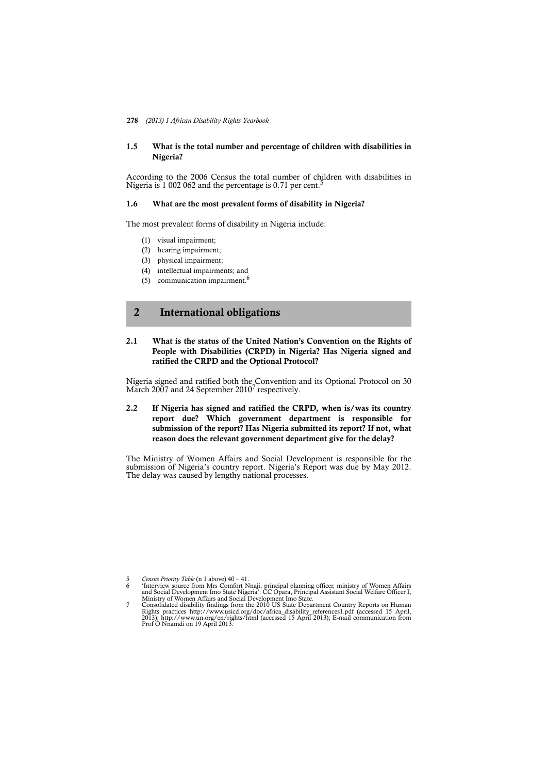#### **278** *(2013) 1 African Disability Rights Yearbook*

## **1.5 What is the total number and percentage of children with disabilities in Nigeria?**

According to the 2006 Census the total number of children with disabilities in Nigeria is  $1\,002\,062$  and the percentage is 0.71 per cent.<sup>5</sup>

### **1.6 What are the most prevalent forms of disability in Nigeria?**

The most prevalent forms of disability in Nigeria include:

- (1) visual impairment;
- (2) hearing impairment;
- (3) physical impairment;
- (4) intellectual impairments; and
- (5) communication impairment.6

## **2 International obligations**

## **2.1 What is the status of the United Nation's Convention on the Rights of People with Disabilities (CRPD) in Nigeria? Has Nigeria signed and ratified the CRPD and the Optional Protocol?**

Nigeria signed and ratified both the Convention and its Optional Protocol on 30 March 2007 and 24 September 2010<sup>7</sup> respectively.

## **2.2 If Nigeria has signed and ratified the CRPD, when is/was its country report due? Which government department is responsible for submission of the report? Has Nigeria submitted its report? If not, what reason does the relevant government department give for the delay?**

The Ministry of Women Affairs and Social Development is responsible for the submission of Nigeria's country report. Nigeria's Report was due by May 2012. The delay was caused by lengthy national processes.

5 *Census Priority Table* (n 1 above) 40 – 41. f Interview source from Mrs Comfort Nnaji, principal planning officer, ministry of Women Affairs<br>and Social Development Imo State Nigeria': CC Opara, Principal Assistant Social Welfare Officer I,<br>Ministry of Women Affairs

Consolidated disability findings from the 2010 US State Department Country Reports on Human<br>Rights practices http://www.usicd.org/doc/africa\_disability\_references1.pdf (accessed 15 April,<br>2013); http://www.un.org/en/rights Prof O Nnamdi on 19 April 2013.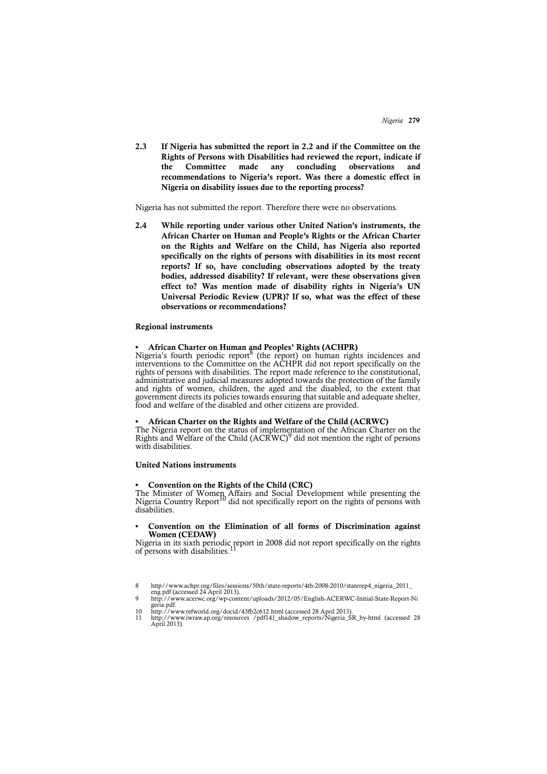**2.3 If Nigeria has submitted the report in 2.2 and if the Committee on the Rights of Persons with Disabilities had reviewed the report, indicate if the Committee made any concluding observations and recommendations to Nigeria's report. Was there a domestic effect in Nigeria on disability issues due to the reporting process?**

Nigeria has not submitted the report. Therefore there were no observations.

**2.4 While reporting under various other United Nation's instruments, the African Charter on Human and People's Rights or the African Charter on the Rights and Welfare on the Child, has Nigeria also reported specifically on the rights of persons with disabilities in its most recent reports? If so, have concluding observations adopted by the treaty bodies, addressed disability? If relevant, were these observations given effect to? Was mention made of disability rights in Nigeria's UN Universal Periodic Review (UPR)? If so, what was the effect of these observations or recommendations?** 

#### **Regional instruments**

#### **• African Charter on Human and Peoples' Rights (ACHPR)**

Nigeria's fourth periodic report<sup>8</sup> (the report) on human rights incidences and interventions to the Committee on the ACHPR did not report specifically on the rights of persons with disabilities. The report made reference to the constitutional, administrative and judicial measures adopted towards the protection of the family and rights of women, children, the aged and the disabled, to the extent that government directs its policies towards ensuring that suitable and adequate shelter, food and welfare of the disabled and other citizens are provided.

### **• African Charter on the Rights and Welfare of the Child (ACRWC)**

The Nigeria report on the status of implementation of the African Charter on the Rights and Welfare of the Child (ACRWC)<sup>9</sup> did not mention the right of persons with disabilities.

#### **United Nations instruments**

#### **• Convention on the Rights of the Child (CRC)**

The Minister of Women Affairs and Social Development while presenting the Nigeria Country Report<sup>10</sup> did not specifically report on the rights of persons with disabilities.

### **• Convention on the Elimination of all forms of Discrimination against Women (CEDAW)**

Nigeria in its sixth periodic report in 2008 did not report specifically on the rights of persons with disabilities.<sup>11</sup>

8 http//www.achpr.org/files/sessions/50th/state-reports/4th-2008-2010/staterep4\_nigeria\_2011\_ eng.pdf (accessed 24 April 2013). 9 http://www.acerwc.org/wp-content/uploads/2012/05/English-ACERWC-Initial-State-Report-Ni

geria.pdf. 10 http://www.refworld.org/docid/43fb2c612.html (accessed 28 April 2013). 11 http://www.iwraw.ap.org/resources /pdf141\_shadow\_reports/Nigeria\_SR\_by-html (accessed 28 April 2013).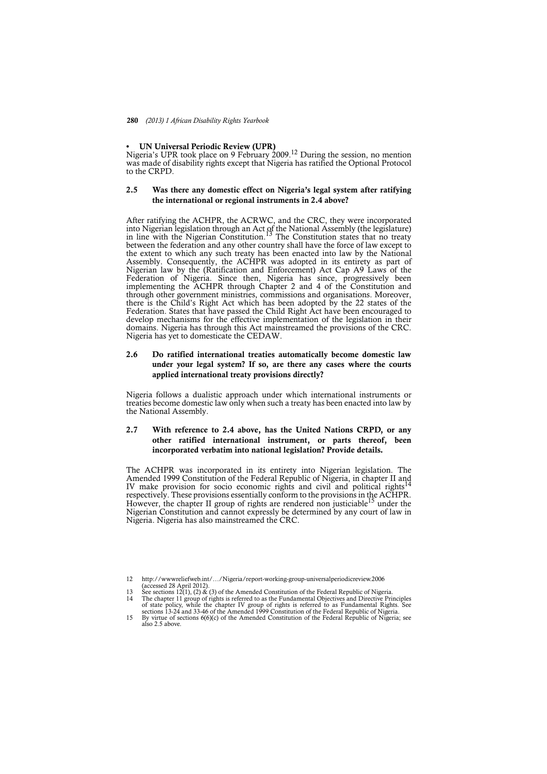#### **• UN Universal Periodic Review (UPR)**

Nigeria's UPR took place on 9 February 2009.<sup>12</sup> During the session, no mention was made of disability rights except that Nigeria has ratified the Optional Protocol to the CRPD.

## **2.5 Was there any domestic effect on Nigeria's legal system after ratifying the international or regional instruments in 2.4 above?**

After ratifying the ACHPR, the ACRWC, and the CRC, they were incorporated into Nigerian legislation through an Act of the National Assembly (the legislature)<br>in line with the Nigerian Constitution.<sup>13</sup> The Constitution states that no treaty between the federation and any other country shall have the force of law except to the extent to which any such treaty has been enacted into law by the National Assembly. Consequently, the ACHPR was adopted in its entirety as part of Nigerian law by the (Ratification and Enforcement) Act Cap A9 Laws of the Federation of Nigeria. Since then, Nigeria has since, progressively been implementing the ACHPR through Chapter 2 and 4 of the Constitution and through other government ministries, commissions and organisations. Moreover, there is the Child's Right Act which has been adopted by the 22 states of the Federation. States that have passed the Child Right Act have been encouraged to develop mechanisms for the effective implementation of the legislation in their domains. Nigeria has through this Act mainstreamed the provisions of the CRC. Nigeria has yet to domesticate the CEDAW.

## **2.6 Do ratified international treaties automatically become domestic law under your legal system? If so, are there any cases where the courts applied international treaty provisions directly?**

Nigeria follows a dualistic approach under which international instruments or treaties become domestic law only when such a treaty has been enacted into law by the National Assembly.

## **2.7 With reference to 2.4 above, has the United Nations CRPD, or any other ratified international instrument, or parts thereof, been incorporated verbatim into national legislation? Provide details.**

The ACHPR was incorporated in its entirety into Nigerian legislation. The Amended 1999 Constitution of the Federal Republic of Nigeria, in chapter II and IV make provision for socio economic rights and civil and political rights<sup>14</sup> respectively. These provisions essentially conform to the provisions in the ACHPR. However, the chapter II group of rights are rendered non justiciable<sup>15</sup> under the Nigerian Constitution and cannot expressly be determined by any court of law in Nigeria. Nigeria has also mainstreamed the CRC.

<sup>12</sup> http://wwwreliefweb.int/…/Nigeria/report-working-group-universalperiodicreview.2006

<sup>(</sup>accessed 28 April 2012).<br>13 See sections 12(1), (2) & (3) of the Amended Constitution of the Federal Republic of Nigeria.<br>14 The chapter 11 group of rights is referred to as the Fundamental Objectives and Directive Princi of state policy, while the chapter IV group of rights is referred to as Fundamental Rights. See<br>sections 13-24 and 33-46 of the Amended 1999 Constitution of the Federal Republic of Nigeria,<br>By virtue of sections 6(6)(c) of

also 2.5 above.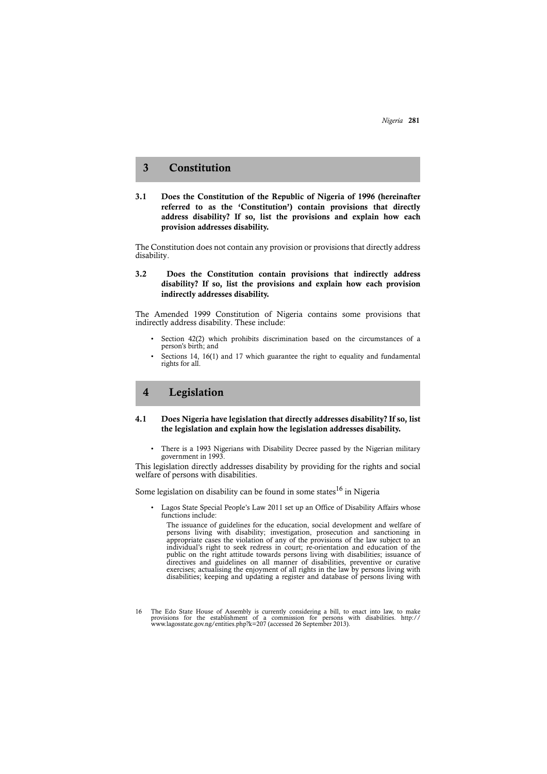## **3 Constitution**

**3.1 Does the Constitution of the Republic of Nigeria of 1996 (hereinafter referred to as the 'Constitution') contain provisions that directly address disability? If so, list the provisions and explain how each provision addresses disability.**

The Constitution does not contain any provision or provisions that directly address disability.

## **3.2 Does the Constitution contain provisions that indirectly address disability? If so, list the provisions and explain how each provision indirectly addresses disability.**

The Amended 1999 Constitution of Nigeria contains some provisions that indirectly address disability. These include:

- Section 42(2) which prohibits discrimination based on the circumstances of a person's birth; and
- Sections 14, 16(1) and 17 which guarantee the right to equality and fundamental rights for all.

## **4 Legislation**

## **4.1 Does Nigeria have legislation that directly addresses disability? If so, list the legislation and explain how the legislation addresses disability.**

• There is a 1993 Nigerians with Disability Decree passed by the Nigerian military government in 1993.

This legislation directly addresses disability by providing for the rights and social welfare of persons with disabilities.

Some legislation on disability can be found in some states<sup>16</sup> in Nigeria

• Lagos State Special People's Law 2011 set up an Office of Disability Affairs whose functions include:

The issuance of guidelines for the education, social development and welfare of persons living with disability; investigation, prosecution and sanctioning in appropriate cases the violation of any of the provisions of the law subject to an individual's right to seek redress in court; re-orientation and education of the public on the right attitude towards persons living with disabilities; issuance of directives and guidelines on all manner of disabilities, preventive or curative exercises; actualising the enjoyment of all rights in the law by persons living with disabilities; keeping and updating a register and database of persons living with

<sup>16</sup> The Edo State House of Assembly is currently considering a bill, to enact into law, to make<br>provisions for the establishment of a commission for persons with disabilities. http://<br>www.lagosstate.gov.ng/entities.php?k=20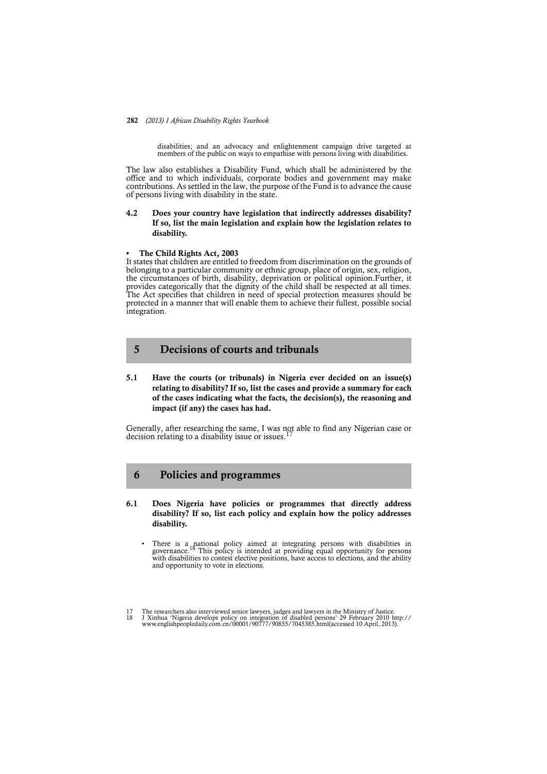#### **282** *(2013) 1 African Disability Rights Yearbook*

disabilities; and an advocacy and enlightenment campaign drive targeted at members of the public on ways to empathise with persons living with disabilities.

The law also establishes a Disability Fund, which shall be administered by the office and to which individuals, corporate bodies and government may make contributions. As settled in the law, the purpose of the Fund is to advance the cause of persons living with disability in the state.

## **4.2 Does your country have legislation that indirectly addresses disability? If so, list the main legislation and explain how the legislation relates to disability.**

### **• The Child Rights Act, 2003**

It states that children are entitled to freedom from discrimination on the grounds of belonging to a particular community or ethnic group, place of origin, sex, religion, the circumstances of birth, disability, deprivation or political opinion.Further, it provides categorically that the dignity of the child shall be respected at all times. The Act specifies that children in need of special protection measures should be protected in a manner that will enable them to achieve their fullest, possible social integration.

## **5 Decisions of courts and tribunals**

**5.1 Have the courts (or tribunals) in Nigeria ever decided on an issue(s) relating to disability? If so, list the cases and provide a summary for each of the cases indicating what the facts, the decision(s), the reasoning and impact (if any) the cases has had.** 

Generally, after researching the same, I was not able to find any Nigerian case or decision relating to a disability issue or issues.

## **6 Policies and programmes**

- **6.1 Does Nigeria have policies or programmes that directly address disability? If so, list each policy and explain how the policy addresses disability.**
	- There is a national policy aimed at integrating persons with disabilities in governance.<sup>18</sup> This policy is intended at providing equal opportunity for persons with disabilities to contest elective positions, have access to elections, and the ability and opportunity to vote in elections.

<sup>17</sup> The researchers also interviewed senior lawyers, judges and lawyers in the Ministry of Justice.<br>18 J Xinhua 'Nigeria develops policy on integration of disabled persons' 29 February 2010 http://<br>www.englishpeopledaily.co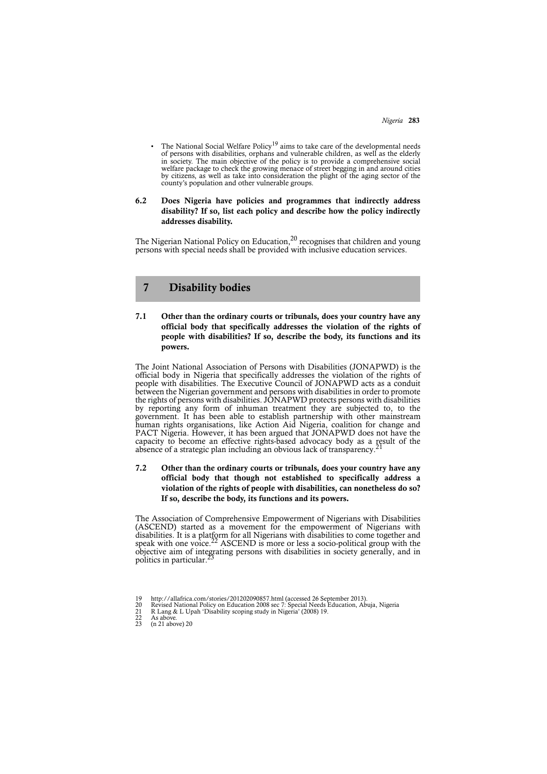*Nigeria* **283**

• The National Social Welfare Policy<sup>19</sup> aims to take care of the developmental needs of persons with disabilities, orphans and vulnerable children, as well as the elderly in society. The main objective of the policy is to provide a comprehensive social welfare package to check the growing menace of street begging in and around cities by citizens, as well as take into consideration the plight of the aging sector of the county's population and other vulnerable groups.

## **6.2 Does Nigeria have policies and programmes that indirectly address disability? If so, list each policy and describe how the policy indirectly addresses disability.**

The Nigerian National Policy on Education, $^{20}$  recognises that children and young persons with special needs shall be provided with inclusive education services.

## **7 Disability bodies**

**7.1 Other than the ordinary courts or tribunals, does your country have any official body that specifically addresses the violation of the rights of people with disabilities? If so, describe the body, its functions and its powers.**

The Joint National Association of Persons with Disabilities (JONAPWD) is the official body in Nigeria that specifically addresses the violation of the rights of people with disabilities. The Executive Council of JONAPWD acts as a conduit between the Nigerian government and persons with disabilities in order to promote the rights of persons with disabilities. JONAPWD protects persons with disabilities by reporting any form of inhuman treatment they are subjected to, to the government. It has been able to establish partnership with other mainstream human rights organisations, like Action Aid Nigeria, coalition for change and PACT Nigeria. However, it has been argued that JONAPWD does not have the capacity to become an effective rights-based advocacy body as a result of the absence of a strategic plan including an obvious lack of transparency.<sup>21</sup>

## **7.2 Other than the ordinary courts or tribunals, does your country have any official body that though not established to specifically address a violation of the rights of people with disabilities, can nonetheless do so? If so, describe the body, its functions and its powers.**

The Association of Comprehensive Empowerment of Nigerians with Disabilities (ASCEND) started as a movement for the empowerment of Nigerians with disabilities. It is a platform for all Nigerians with disabilities to come together and speak with one voice.<sup>22</sup> ASCEND is more or less a socio-political group with the objective aim of integrating persons with disabilities in society generally, and in politics in particular.

<sup>19</sup> http://allafrica.com/stories/201202090857.html (accessed 26 September 2013).

<sup>20</sup> Revised National Policy on Education 2008 sec 7: Special Needs Education, Abuja, Nigeria 21 R Lang & L Upah 'Disability scoping study in Nigeria' (2008) 19.

<sup>20</sup> R. Kevisca IV<br>
21 R. Lang &<br>
22 As above.<br>
23 (n 21 above)

<sup>23 (</sup>n 21 above) 20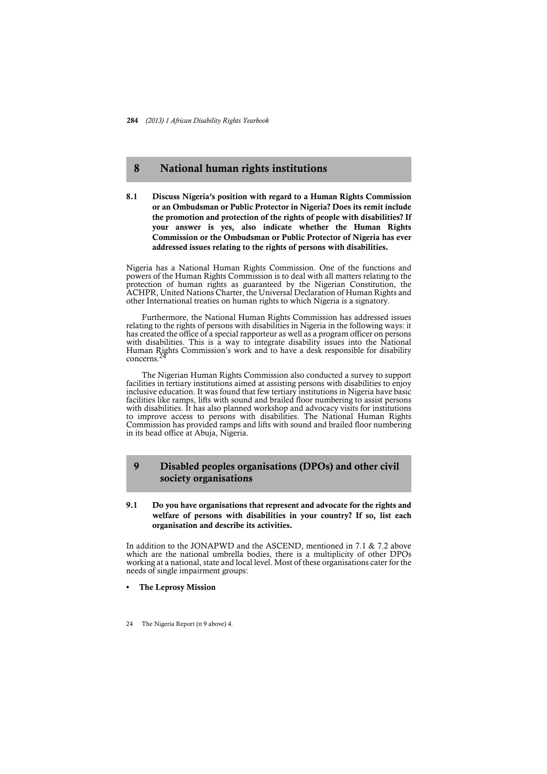## **8 National human rights institutions**

**8.1 Discuss Nigeria's position with regard to a Human Rights Commission or an Ombudsman or Public Protector in Nigeria? Does its remit include the promotion and protection of the rights of people with disabilities? If your answer is yes, also indicate whether the Human Rights Commission or the Ombudsman or Public Protector of Nigeria has ever addressed issues relating to the rights of persons with disabilities.** 

Nigeria has a National Human Rights Commission. One of the functions and powers of the Human Rights Commission is to deal with all matters relating to the protection of human rights as guaranteed by the Nigerian Constitution, the ACHPR, United Nations Charter, the Universal Declaration of Human Rights and other International treaties on human rights to which Nigeria is a signatory.

Furthermore, the National Human Rights Commission has addressed issues relating to the rights of persons with disabilities in Nigeria in the following ways: it has created the office of a special rapporteur as well as a program officer on persons with disabilities. This is a way to integrate disability issues into the National Human Rights Commission's work and to have a desk responsible for disability concerns.<sup>24</sup>

The Nigerian Human Rights Commission also conducted a survey to support facilities in tertiary institutions aimed at assisting persons with disabilities to enjoy inclusive education. It was found that few tertiary institutions in Nigeria have basic facilities like ramps, lifts with sound and brailed floor numbering to assist persons with disabilities. It has also planned workshop and advocacy visits for institutions to improve access to persons with disabilities. The National Human Rights Commission has provided ramps and lifts with sound and brailed floor numbering in its head office at Abuja, Nigeria.

## **9 Disabled peoples organisations (DPOs) and other civil society organisations**

## **9.1 Do you have organisations that represent and advocate for the rights and welfare of persons with disabilities in your country? If so, list each organisation and describe its activities.**

In addition to the JONAPWD and the ASCEND, mentioned in 7.1 & 7.2 above which are the national umbrella bodies, there is a multiplicity of other DPOs working at a national, state and local level. Most of these organisations cater for the needs of single impairment groups:

- **The Leprosy Mission**
- 24 The Nigeria Report (n 9 above) 4.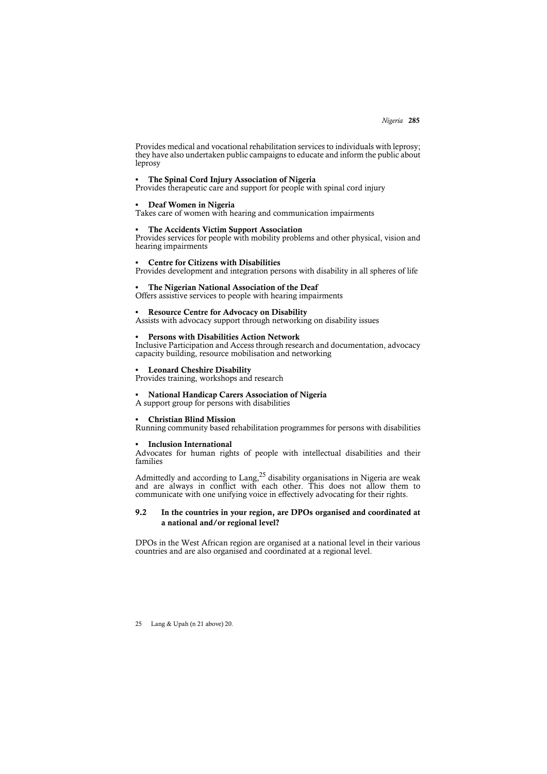*Nigeria* **285**

Provides medical and vocational rehabilitation services to individuals with leprosy; they have also undertaken public campaigns to educate and inform the public about leprosy

#### **• The Spinal Cord Injury Association of Nigeria**

Provides therapeutic care and support for people with spinal cord injury

## **• Deaf Women in Nigeria**

Takes care of women with hearing and communication impairments

### **• The Accidents Victim Support Association**

Provides services for people with mobility problems and other physical, vision and hearing impairments

#### **• Centre for Citizens with Disabilities**

Provides development and integration persons with disability in all spheres of life

## **• The Nigerian National Association of the Deaf**

Offers assistive services to people with hearing impairments

#### **• Resource Centre for Advocacy on Disability**

Assists with advocacy support through networking on disability issues

#### **• Persons with Disabilities Action Network**

Inclusive Participation and Access through research and documentation, advocacy capacity building, resource mobilisation and networking

### **• Leonard Cheshire Disability**

Provides training, workshops and research

#### **• National Handicap Carers Association of Nigeria**

A support group for persons with disabilities

#### **• Christian Blind Mission**

Running community based rehabilitation programmes for persons with disabilities

#### **• Inclusion International**

Advocates for human rights of people with intellectual disabilities and their families

Admittedly and according to Lang,<sup>25</sup> disability organisations in Nigeria are weak and are always in conflict with each other. This does not allow them to communicate with one unifying voice in effectively advocating for their rights.

### **9.2 In the countries in your region, are DPOs organised and coordinated at a national and/or regional level?**

DPOs in the West African region are organised at a national level in their various countries and are also organised and coordinated at a regional level.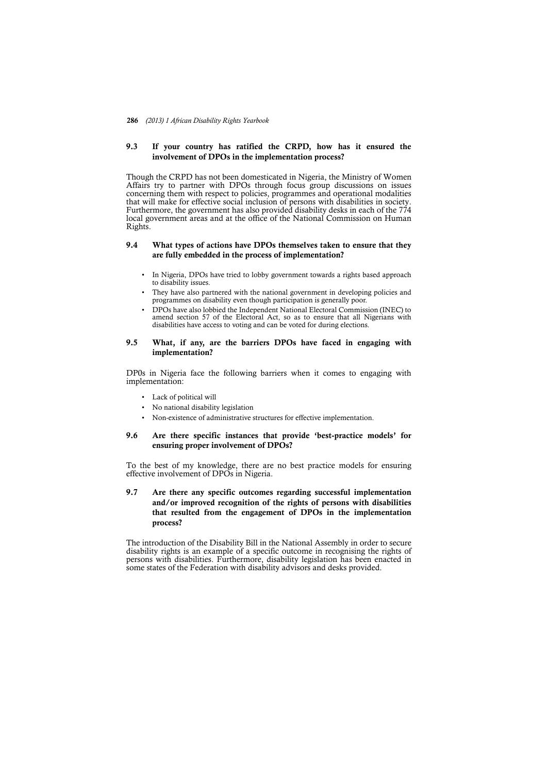## **9.3 If your country has ratified the CRPD, how has it ensured the involvement of DPOs in the implementation process?**

Though the CRPD has not been domesticated in Nigeria, the Ministry of Women Affairs try to partner with DPOs through focus group discussions on issues concerning them with respect to policies, programmes and operational modalities that will make for effective social inclusion of persons with disabilities in society. Furthermore, the government has also provided disability desks in each of the 774 local government areas and at the office of the National Commission on Human Rights.

## **9.4 What types of actions have DPOs themselves taken to ensure that they are fully embedded in the process of implementation?**

- In Nigeria, DPOs have tried to lobby government towards a rights based approach to disability issues.
- They have also partnered with the national government in developing policies and programmes on disability even though participation is generally poor.
- DPOs have also lobbied the Independent National Electoral Commission (INEC) to amend section 57 of the Electoral Act, so as to ensure that all Nigerians with disabilities have access to voting and can be voted for during elections.

## **9.5 What, if any, are the barriers DPOs have faced in engaging with implementation?**

DP0s in Nigeria face the following barriers when it comes to engaging with implementation:

- Lack of political will
- No national disability legislation
- Non-existence of administrative structures for effective implementation.

## **9.6 Are there specific instances that provide 'best-practice models' for ensuring proper involvement of DPOs?**

To the best of my knowledge, there are no best practice models for ensuring effective involvement of DPOs in Nigeria.

## **9.7 Are there any specific outcomes regarding successful implementation and/or improved recognition of the rights of persons with disabilities that resulted from the engagement of DPOs in the implementation process?**

The introduction of the Disability Bill in the National Assembly in order to secure disability rights is an example of a specific outcome in recognising the rights of persons with disabilities. Furthermore, disability legislation has been enacted in some states of the Federation with disability advisors and desks provided.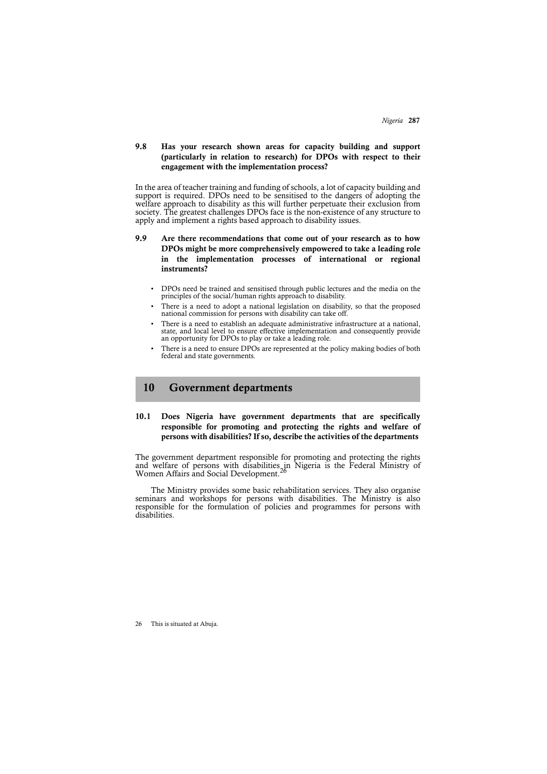## **9.8 Has your research shown areas for capacity building and support (particularly in relation to research) for DPOs with respect to their engagement with the implementation process?**

In the area of teacher training and funding of schools, a lot of capacity building and support is required. DPOs need to be sensitised to the dangers of adopting the welfare approach to disability as this will further perpetuate their exclusion from society. The greatest challenges DPOs face is the non-existence of any structure to apply and implement a rights based approach to disability issues.

- **9.9 Are there recommendations that come out of your research as to how DPOs might be more comprehensively empowered to take a leading role in the implementation processes of international or regional instruments?**
	- DPOs need be trained and sensitised through public lectures and the media on the principles of the social/human rights approach to disability.
	- There is a need to adopt a national legislation on disability, so that the proposed national commission for persons with disability can take off.
	- There is a need to establish an adequate administrative infrastructure at a national, state, and local level to ensure effective implementation and consequently provide an opportunity for DPOs to play or take a leading role.
	- There is a need to ensure DPOs are represented at the policy making bodies of both federal and state governments.

## **10 Government departments**

## **10.1 Does Nigeria have government departments that are specifically responsible for promoting and protecting the rights and welfare of persons with disabilities? If so, describe the activities of the departments**

The government department responsible for promoting and protecting the rights and welfare of persons with disabilities in Nigeria is the Federal Ministry of Women Affairs and Social Development.<sup>26</sup>

The Ministry provides some basic rehabilitation services. They also organise seminars and workshops for persons with disabilities. The Ministry is also responsible for the formulation of policies and programmes for persons with disabilities.

26 This is situated at Abuja.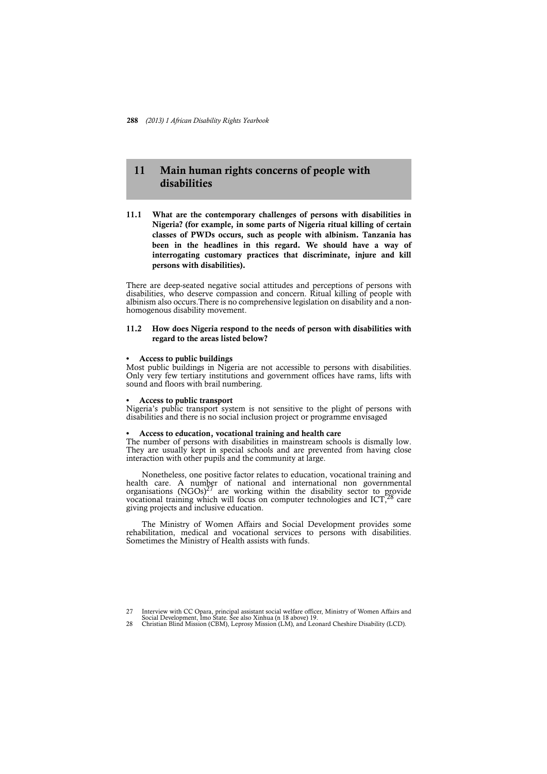## **11 Main human rights concerns of people with disabilities**

**11.1 What are the contemporary challenges of persons with disabilities in Nigeria? (for example, in some parts of Nigeria ritual killing of certain classes of PWDs occurs, such as people with albinism. Tanzania has been in the headlines in this regard. We should have a way of interrogating customary practices that discriminate, injure and kill persons with disabilities).**

There are deep-seated negative social attitudes and perceptions of persons with disabilities, who deserve compassion and concern. Ritual killing of people with albinism also occurs.There is no comprehensive legislation on disability and a nonhomogenous disability movement.

## **11.2 How does Nigeria respond to the needs of person with disabilities with regard to the areas listed below?**

### **• Access to public buildings**

Most public buildings in Nigeria are not accessible to persons with disabilities. Only very few tertiary institutions and government offices have rams, lifts with sound and floors with brail numbering.

#### **• Access to public transport**

Nigeria's public transport system is not sensitive to the plight of persons with disabilities and there is no social inclusion project or programme envisaged

## **• Access to education, vocational training and health care**

The number of persons with disabilities in mainstream schools is dismally low. They are usually kept in special schools and are prevented from having close interaction with other pupils and the community at large.

Nonetheless, one positive factor relates to education, vocational training and health care. A number of national and international non governmental organisations  $(NGOs)^{27}$  are working within the disability sector to provide vocational training which will focus on computer technologies and ICT,<sup>28</sup> care giving projects and inclusive education.

The Ministry of Women Affairs and Social Development provides some rehabilitation, medical and vocational services to persons with disabilities. Sometimes the Ministry of Health assists with funds.

<sup>27</sup> Interview with CC Opara, principal assistant social welfare officer, Ministry of Women Affairs and Social Development, Imo State. See also Xinhua (n 18 above) 19.

<sup>28</sup> Christian Blind Mission (CBM), Leprosy Mission (LM), and Leonard Cheshire Disability (LCD).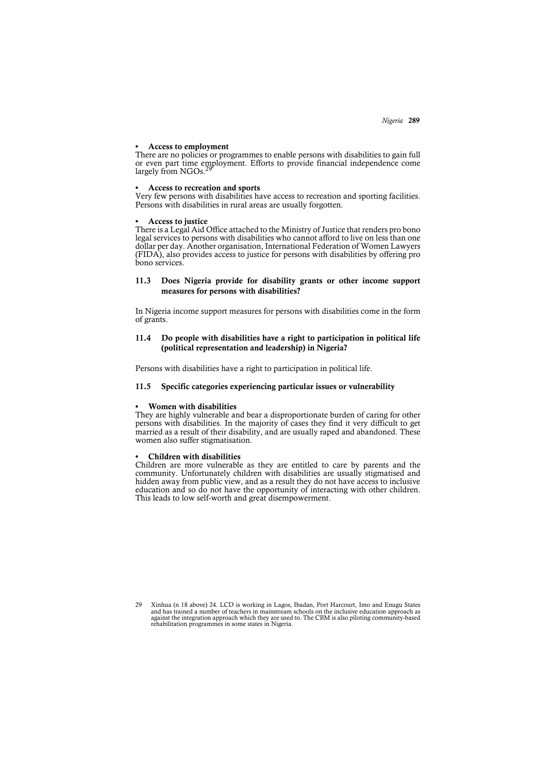*Nigeria* **289**

#### **• Access to employment**

There are no policies or programmes to enable persons with disabilities to gain full or even part time employment. Efforts to provide financial independence come largely from NGOs.

#### **• Access to recreation and sports**

Very few persons with disabilities have access to recreation and sporting facilities. Persons with disabilities in rural areas are usually forgotten.

#### **• Access to justice**

There is a Legal Aid Office attached to the Ministry of Justice that renders pro bono legal services to persons with disabilities who cannot afford to live on less than one dollar per day. Another organisation, International Federation of Women Lawyers (FIDA), also provides access to justice for persons with disabilities by offering pro bono services.

## **11.3 Does Nigeria provide for disability grants or other income support measures for persons with disabilities?**

In Nigeria income support measures for persons with disabilities come in the form of grants.

## **11.4 Do people with disabilities have a right to participation in political life (political representation and leadership) in Nigeria?**

Persons with disabilities have a right to participation in political life.

### **11.5 Specific categories experiencing particular issues or vulnerability**

#### **• Women with disabilities**

They are highly vulnerable and bear a disproportionate burden of caring for other persons with disabilities. In the majority of cases they find it very difficult to get married as a result of their disability, and are usually raped and abandoned. These women also suffer stigmatisation.

## **• Children with disabilities**

Children are more vulnerable as they are entitled to care by parents and the community. Unfortunately children with disabilities are usually stigmatised and hidden away from public view, and as a result they do not have access to inclusive education and so do not have the opportunity of interacting with other children. This leads to low self-worth and great disempowerment.

29 Xinhua (n 18 above) 24. LCD is working in Lagos, Ibadan, Port Harcourt, Imo and Enugu States and has trained a number of teachers in mainstream schools on the inclusive education approach as against the integration appr